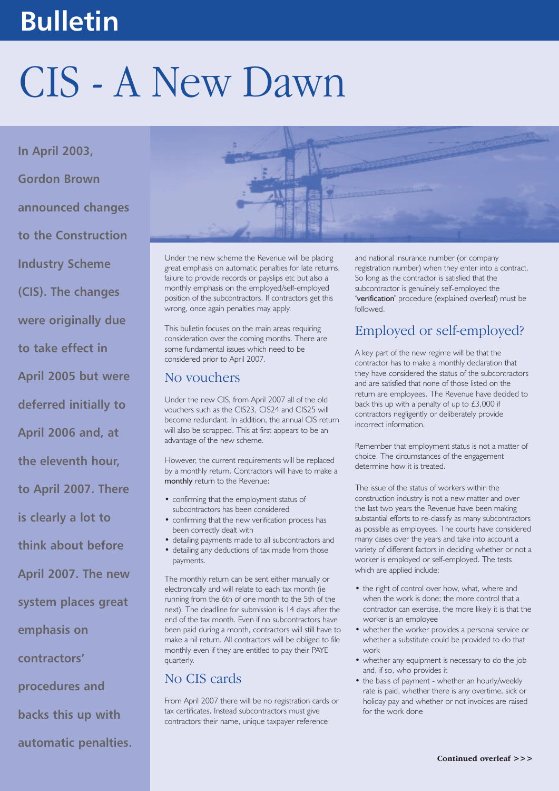# **Bulletin**

# CIS - A New Dawn

**In April 2003, Gordon Brown announced changes to the Construction Industry Scheme (CIS). The changes were originally due to take effect in April 2005 but were deferred initially to April 2006 and, at the eleventh hour, to April 2007. There is clearly a lot to think about before April 2007. The new system places great emphasis on contractors' procedures and backs this up with automatic penalties.** 



Under the new scheme the Revenue will be placing great emphasis on automatic penalties for late returns, failure to provide records or payslips etc but also a monthly emphasis on the employed/self-employed position of the subcontractors. If contractors get this wrong, once again penalties may apply.

This bulletin focuses on the main areas requiring consideration over the coming months. There are some fundamental issues which need to be considered prior to April 2007.

#### No vouchers

Under the new CIS, from April 2007 all of the old vouchers such as the CIS23, CIS24 and CIS25 will become redundant. In addition, the annual CIS return will also be scrapped. This at first appears to be an advantage of the new scheme.

However, the current requirements will be replaced by a monthly return. Contractors will have to make a monthly return to the Revenue:

- confirming that the employment status of subcontractors has been considered
- confirming that the new verification process has been correctly dealt with
- detailing payments made to all subcontractors and
- detailing any deductions of tax made from those payments.

The monthly return can be sent either manually or electronically and will relate to each tax month (ie running from the 6th of one month to the 5th of the next). The deadline for submission is 14 days after the end of the tax month. Even if no subcontractors have been paid during a month, contractors will still have to make a nil return. All contractors will be obliged to file monthly even if they are entitled to pay their PAYE quarterly.

# No CIS cards

From April 2007 there will be no registration cards or tax certificates. Instead subcontractors must give contractors their name, unique taxpayer reference

and national insurance number (or company registration number) when they enter into a contract. So long as the contractor is satisfied that the subcontractor is genuinely self-employed the 'verification' procedure (explained overleaf) must be followed.

# Employed or self-employed?

A key part of the new regime will be that the contractor has to make a monthly declaration that they have considered the status of the subcontractors and are satisfied that none of those listed on the return are employees. The Revenue have decided to back this up with a penalty of up to  $£3,000$  if contractors negligently or deliberately provide incorrect information.

Remember that employment status is not a matter of choice. The circumstances of the engagement determine how it is treated.

The issue of the status of workers within the construction industry is not a new matter and over the last two years the Revenue have been making substantial efforts to re-classify as many subcontractors as possible as employees. The courts have considered many cases over the years and take into account a variety of different factors in deciding whether or not a worker is employed or self-employed. The tests which are applied include:

- the right of control over how, what, where and when the work is done; the more control that a contractor can exercise, the more likely it is that the worker is an employee
- whether the worker provides a personal service or whether a substitute could be provided to do that work
- whether any equipment is necessary to do the job and, if so, who provides it
- the basis of payment whether an hourly/weekly rate is paid, whether there is any overtime, sick or holiday pay and whether or not invoices are raised for the work done